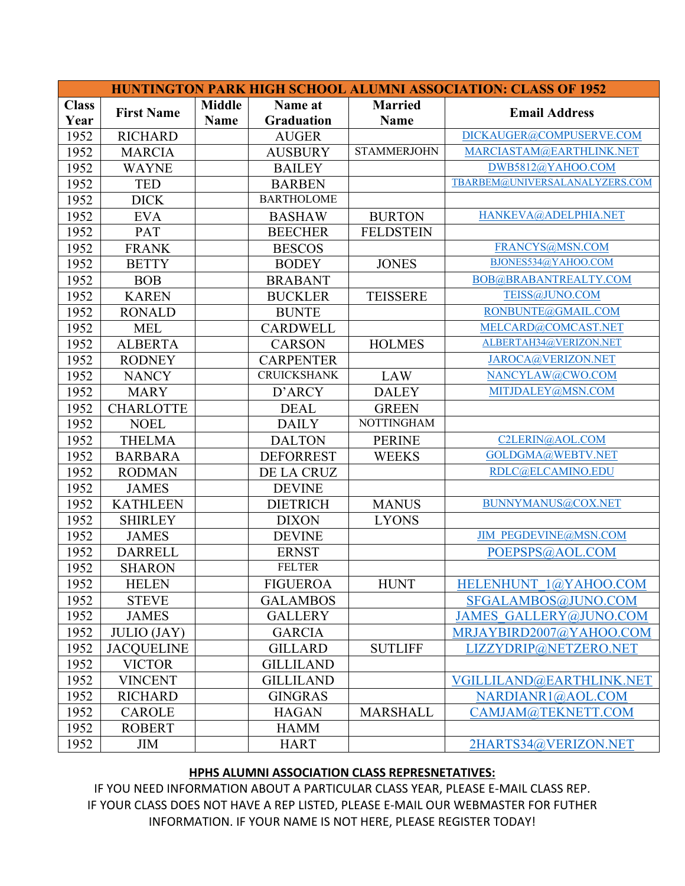| <b>HUNTINGTON PARK HIGH SCHOOL ALUMNI ASSOCIATION: CLASS OF 1952</b> |                    |               |                                  |                    |                                |  |
|----------------------------------------------------------------------|--------------------|---------------|----------------------------------|--------------------|--------------------------------|--|
| <b>Class</b>                                                         |                    | <b>Middle</b> | Name at                          | <b>Married</b>     | <b>Email Address</b>           |  |
| Year                                                                 | <b>First Name</b>  | <b>Name</b>   | <b>Graduation</b><br><b>Name</b> |                    |                                |  |
| 1952                                                                 | <b>RICHARD</b>     |               | <b>AUGER</b>                     |                    | DICKAUGER@COMPUSERVE.COM       |  |
| 1952                                                                 | <b>MARCIA</b>      |               | <b>AUSBURY</b>                   | <b>STAMMERJOHN</b> | MARCIASTAM@EARTHLINK.NET       |  |
| 1952                                                                 | <b>WAYNE</b>       |               | <b>BAILEY</b>                    |                    | DWB5812@YAHOO.COM              |  |
| 1952                                                                 | <b>TED</b>         |               | <b>BARBEN</b>                    |                    | TBARBEM@UNIVERSALANALYZERS.COM |  |
| 1952                                                                 | <b>DICK</b>        |               | <b>BARTHOLOME</b>                |                    |                                |  |
| 1952                                                                 | <b>EVA</b>         |               | <b>BASHAW</b>                    | <b>BURTON</b>      | HANKEVA@ADELPHIA.NET           |  |
| 1952                                                                 | PAT                |               | <b>BEECHER</b>                   | <b>FELDSTEIN</b>   |                                |  |
| 1952                                                                 | <b>FRANK</b>       |               | <b>BESCOS</b>                    |                    | FRANCYS@MSN.COM                |  |
| 1952                                                                 | <b>BETTY</b>       |               | <b>BODEY</b>                     | <b>JONES</b>       | BJONES534@YAHOO.COM            |  |
| 1952                                                                 | <b>BOB</b>         |               | <b>BRABANT</b>                   |                    | BOB@BRABANTREALTY.COM          |  |
| 1952                                                                 | <b>KAREN</b>       |               | <b>BUCKLER</b>                   | <b>TEISSERE</b>    | TEISS@JUNO.COM                 |  |
| 1952                                                                 | <b>RONALD</b>      |               | <b>BUNTE</b>                     |                    | RONBUNTE@GMAIL.COM             |  |
| 1952                                                                 | <b>MEL</b>         |               | <b>CARDWELL</b>                  |                    | MELCARD@COMCAST.NET            |  |
| 1952                                                                 | <b>ALBERTA</b>     |               | <b>CARSON</b>                    | <b>HOLMES</b>      | ALBERTAH34@VERIZON.NET         |  |
| 1952                                                                 | <b>RODNEY</b>      |               | <b>CARPENTER</b>                 |                    | JAROCA@VERIZON.NET             |  |
| 1952                                                                 | <b>NANCY</b>       |               | <b>CRUICKSHANK</b>               | LAW                | NANCYLAW@CWO.COM               |  |
| 1952                                                                 | <b>MARY</b>        |               | D'ARCY                           | <b>DALEY</b>       | MITJDALEY@MSN.COM              |  |
| 1952                                                                 | <b>CHARLOTTE</b>   |               | <b>DEAL</b>                      | <b>GREEN</b>       |                                |  |
| 1952                                                                 | <b>NOEL</b>        |               | <b>DAILY</b>                     | <b>NOTTINGHAM</b>  |                                |  |
| 1952                                                                 | <b>THELMA</b>      |               | <b>DALTON</b>                    | <b>PERINE</b>      | C2LERIN@AOL.COM                |  |
| 1952                                                                 | <b>BARBARA</b>     |               | <b>DEFORREST</b>                 | <b>WEEKS</b>       | GOLDGMA@WEBTV.NET              |  |
| 1952                                                                 | <b>RODMAN</b>      |               | DE LA CRUZ                       |                    | RDLC@ELCAMINO.EDU              |  |
| 1952                                                                 | <b>JAMES</b>       |               | <b>DEVINE</b>                    |                    |                                |  |
| 1952                                                                 | <b>KATHLEEN</b>    |               | <b>DIETRICH</b>                  | <b>MANUS</b>       | BUNNYMANUS@COX.NET             |  |
| 1952                                                                 | <b>SHIRLEY</b>     |               | <b>DIXON</b>                     | <b>LYONS</b>       |                                |  |
| 1952                                                                 | <b>JAMES</b>       |               | <b>DEVINE</b>                    |                    | <b>JIM PEGDEVINE@MSN.COM</b>   |  |
| 1952                                                                 | <b>DARRELL</b>     |               | <b>ERNST</b>                     |                    | POEPSPS@AOL.COM                |  |
| 1952                                                                 | <b>SHARON</b>      |               | <b>FELTER</b>                    |                    |                                |  |
| 1952                                                                 | <b>HELEN</b>       |               | <b>FIGUEROA</b>                  | <b>HUNT</b>        | HELENHUNT 1@YAHOO.COM          |  |
| 1952                                                                 | <b>STEVE</b>       |               | <b>GALAMBOS</b>                  |                    | SFGALAMBOS@JUNO.COM            |  |
| 1952                                                                 | <b>JAMES</b>       |               | <b>GALLERY</b>                   |                    | <b>JAMES GALLERY@JUNO.COM</b>  |  |
| 1952                                                                 | <b>JULIO</b> (JAY) |               | <b>GARCIA</b>                    |                    | MRJAYBIRD2007@YAHOO.COM        |  |
| 1952                                                                 | <b>JACQUELINE</b>  |               | <b>GILLARD</b>                   | <b>SUTLIFF</b>     | LIZZYDRIP@NETZERO.NET          |  |
| 1952                                                                 | <b>VICTOR</b>      |               | <b>GILLILAND</b>                 |                    |                                |  |
| 1952                                                                 | <b>VINCENT</b>     |               | <b>GILLILAND</b>                 |                    | VGILLILAND@EARTHLINK.NET       |  |
| 1952                                                                 | <b>RICHARD</b>     |               | <b>GINGRAS</b>                   |                    | NARDIANR1@AOL.COM              |  |
| 1952                                                                 | <b>CAROLE</b>      |               | <b>HAGAN</b>                     | <b>MARSHALL</b>    | CAMJAM@TEKNETT.COM             |  |
| 1952                                                                 | <b>ROBERT</b>      |               | <b>HAMM</b>                      |                    |                                |  |
| 1952                                                                 | <b>JIM</b>         |               | <b>HART</b>                      |                    | 2HARTS34@VERIZON.NET           |  |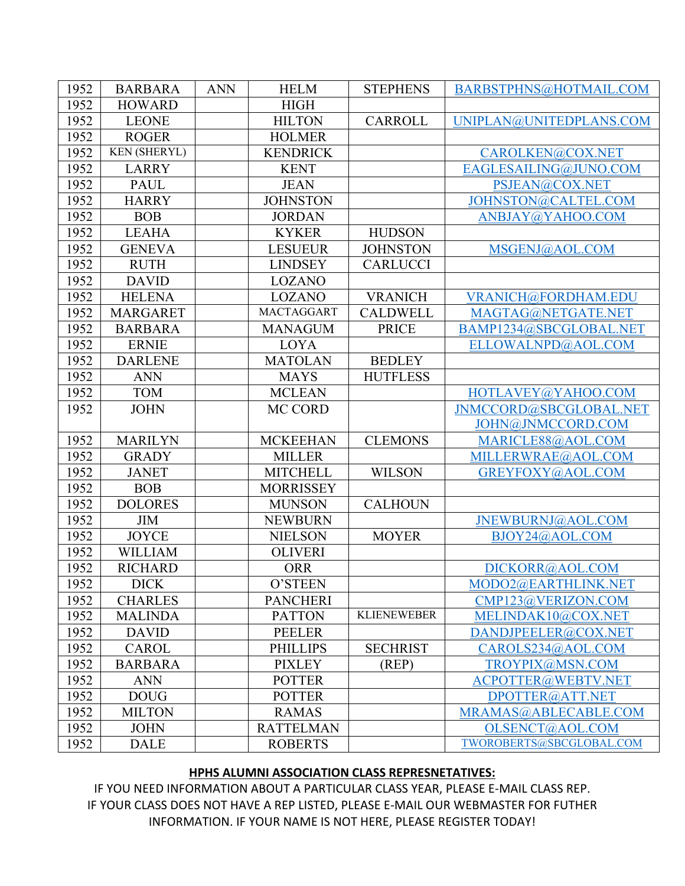| 1952 | <b>BARBARA</b>      | <b>ANN</b> | <b>HELM</b>       | <b>STEPHENS</b>    | BARBSTPHNS@HOTMAIL.COM   |
|------|---------------------|------------|-------------------|--------------------|--------------------------|
| 1952 | <b>HOWARD</b>       |            | <b>HIGH</b>       |                    |                          |
| 1952 | <b>LEONE</b>        |            | <b>HILTON</b>     | <b>CARROLL</b>     | UNIPLAN@UNITEDPLANS.COM  |
| 1952 | <b>ROGER</b>        |            | <b>HOLMER</b>     |                    |                          |
| 1952 | <b>KEN (SHERYL)</b> |            | <b>KENDRICK</b>   |                    | CAROLKEN@COX.NET         |
| 1952 | <b>LARRY</b>        |            | <b>KENT</b>       |                    | EAGLESAILING@JUNO.COM    |
| 1952 | <b>PAUL</b>         |            | <b>JEAN</b>       |                    | PSJEAN@COX.NET           |
| 1952 | <b>HARRY</b>        |            | <b>JOHNSTON</b>   |                    | JOHNSTON@CALTEL.COM      |
| 1952 | <b>BOB</b>          |            | <b>JORDAN</b>     |                    | ANBJAY@YAHOO.COM         |
| 1952 | <b>LEAHA</b>        |            | <b>KYKER</b>      | <b>HUDSON</b>      |                          |
| 1952 | <b>GENEVA</b>       |            | <b>LESUEUR</b>    | <b>JOHNSTON</b>    | MSGENJ@AOL.COM           |
| 1952 | <b>RUTH</b>         |            | <b>LINDSEY</b>    | <b>CARLUCCI</b>    |                          |
| 1952 | <b>DAVID</b>        |            | <b>LOZANO</b>     |                    |                          |
| 1952 | <b>HELENA</b>       |            | <b>LOZANO</b>     | <b>VRANICH</b>     | VRANICH@FORDHAM.EDU      |
| 1952 | <b>MARGARET</b>     |            | <b>MACTAGGART</b> | <b>CALDWELL</b>    | MAGTAG@NETGATE.NET       |
| 1952 | <b>BARBARA</b>      |            | <b>MANAGUM</b>    | <b>PRICE</b>       | BAMP1234@SBCGLOBAL.NET   |
| 1952 | <b>ERNIE</b>        |            | LOYA              |                    | ELLOWALNPD@AOL.COM       |
| 1952 | <b>DARLENE</b>      |            | <b>MATOLAN</b>    | <b>BEDLEY</b>      |                          |
| 1952 | <b>ANN</b>          |            | <b>MAYS</b>       | <b>HUTFLESS</b>    |                          |
| 1952 | <b>TOM</b>          |            | <b>MCLEAN</b>     |                    | HOTLAVEY@YAHOO.COM       |
| 1952 | <b>JOHN</b>         |            | MC CORD           |                    | JNMCCORD@SBCGLOBAL.NET   |
|      |                     |            |                   |                    | JOHN@JNMCCORD.COM        |
| 1952 | <b>MARILYN</b>      |            | <b>MCKEEHAN</b>   | <b>CLEMONS</b>     | MARICLE88@AOL.COM        |
| 1952 | <b>GRADY</b>        |            | <b>MILLER</b>     |                    | MILLERWRAE@AOL.COM       |
| 1952 | <b>JANET</b>        |            | <b>MITCHELL</b>   | <b>WILSON</b>      | GREYFOXY@AOL.COM         |
| 1952 | <b>BOB</b>          |            | <b>MORRISSEY</b>  |                    |                          |
| 1952 | <b>DOLORES</b>      |            | <b>MUNSON</b>     | <b>CALHOUN</b>     |                          |
| 1952 | <b>JIM</b>          |            | <b>NEWBURN</b>    |                    | JNEWBURNJ@AOL.COM        |
| 1952 | <b>JOYCE</b>        |            | <b>NIELSON</b>    | <b>MOYER</b>       | BJOY24@AOL.COM           |
| 1952 | <b>WILLIAM</b>      |            | <b>OLIVERI</b>    |                    |                          |
| 1952 | <b>RICHARD</b>      |            | <b>ORR</b>        |                    | DICKORR@AOL.COM          |
| 1952 | <b>DICK</b>         |            | O'STEEN           |                    | MODO2@EARTHLINK.NET      |
| 1952 | <b>CHARLES</b>      |            | <b>PANCHERI</b>   |                    | CMP123@VERIZON.COM       |
| 1952 | <b>MALINDA</b>      |            | <b>PATTON</b>     | <b>KLIENEWEBER</b> | MELINDAK10@COX.NET       |
| 1952 | <b>DAVID</b>        |            | <b>PEELER</b>     |                    | DANDJPEELER@COX.NET      |
| 1952 | <b>CAROL</b>        |            | <b>PHILLIPS</b>   | <b>SECHRIST</b>    | CAROLS234@AOL.COM        |
| 1952 | <b>BARBARA</b>      |            | <b>PIXLEY</b>     | (REP)              | TROYPIX@MSN.COM          |
| 1952 | <b>ANN</b>          |            | <b>POTTER</b>     |                    | ACPOTTER@WEBTV.NET       |
| 1952 | <b>DOUG</b>         |            | <b>POTTER</b>     |                    | DPOTTER@ATT.NET          |
| 1952 | <b>MILTON</b>       |            | <b>RAMAS</b>      |                    | MRAMAS@ABLECABLE.COM     |
| 1952 | <b>JOHN</b>         |            | <b>RATTELMAN</b>  |                    | OLSENCT@AOL.COM          |
| 1952 | <b>DALE</b>         |            | <b>ROBERTS</b>    |                    | TWOROBERTS@SBCGLOBAL.COM |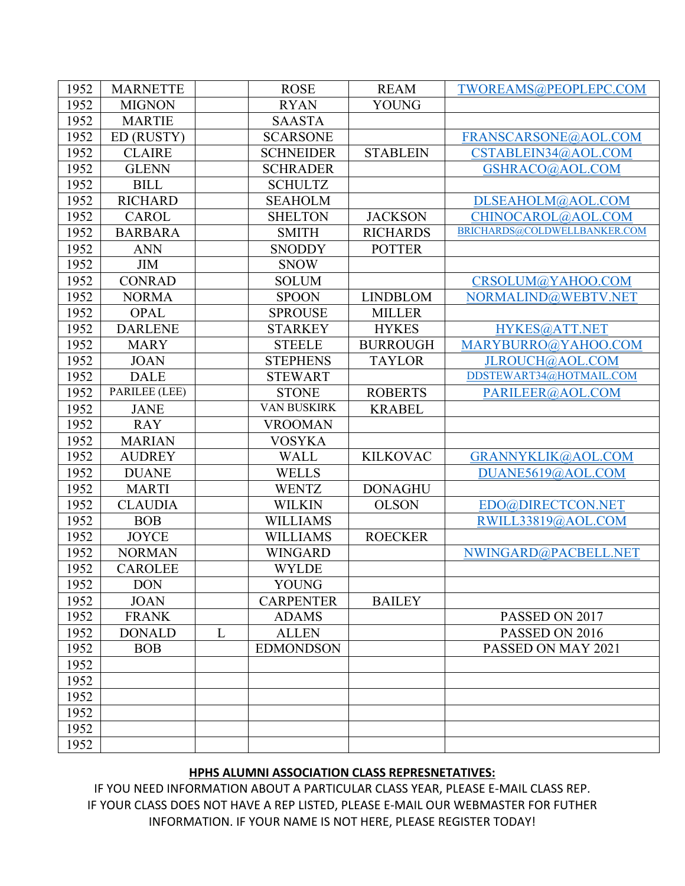| 1952 | <b>MARNETTE</b> |   | <b>ROSE</b>      | <b>REAM</b>     | TWOREAMS@PEOPLEPC.COM        |
|------|-----------------|---|------------------|-----------------|------------------------------|
| 1952 | <b>MIGNON</b>   |   | <b>RYAN</b>      | <b>YOUNG</b>    |                              |
| 1952 | <b>MARTIE</b>   |   | <b>SAASTA</b>    |                 |                              |
| 1952 | ED (RUSTY)      |   | <b>SCARSONE</b>  |                 | FRANSCARSONE@AOL.COM         |
| 1952 | <b>CLAIRE</b>   |   | <b>SCHNEIDER</b> | <b>STABLEIN</b> | CSTABLEIN34@AOL.COM          |
| 1952 | <b>GLENN</b>    |   | <b>SCHRADER</b>  |                 | GSHRACO@AOL.COM              |
| 1952 | <b>BILL</b>     |   | <b>SCHULTZ</b>   |                 |                              |
| 1952 | <b>RICHARD</b>  |   | <b>SEAHOLM</b>   |                 | DLSEAHOLM@AOL.COM            |
| 1952 | <b>CAROL</b>    |   | <b>SHELTON</b>   | <b>JACKSON</b>  | CHINOCAROL@AOL.COM           |
| 1952 | <b>BARBARA</b>  |   | <b>SMITH</b>     | <b>RICHARDS</b> | BRICHARDS@COLDWELLBANKER.COM |
| 1952 | <b>ANN</b>      |   | <b>SNODDY</b>    | <b>POTTER</b>   |                              |
| 1952 | <b>JIM</b>      |   | <b>SNOW</b>      |                 |                              |
| 1952 | <b>CONRAD</b>   |   | <b>SOLUM</b>     |                 | CRSOLUM@YAHOO.COM            |
| 1952 | <b>NORMA</b>    |   | <b>SPOON</b>     | <b>LINDBLOM</b> | NORMALIND@WEBTV.NET          |
| 1952 | <b>OPAL</b>     |   | <b>SPROUSE</b>   | <b>MILLER</b>   |                              |
| 1952 | <b>DARLENE</b>  |   | <b>STARKEY</b>   | <b>HYKES</b>    | HYKES@ATT.NET                |
| 1952 | <b>MARY</b>     |   | <b>STEELE</b>    | <b>BURROUGH</b> | MARYBURRO@YAHOO.COM          |
| 1952 | <b>JOAN</b>     |   | <b>STEPHENS</b>  | <b>TAYLOR</b>   | JLROUCH@AOL.COM              |
| 1952 | <b>DALE</b>     |   | <b>STEWART</b>   |                 | DDSTEWART34@HOTMAIL.COM      |
| 1952 | PARILEE (LEE)   |   | <b>STONE</b>     | <b>ROBERTS</b>  | PARILEER@AOL.COM             |
| 1952 | <b>JANE</b>     |   | VAN BUSKIRK      | <b>KRABEL</b>   |                              |
| 1952 | <b>RAY</b>      |   | <b>VROOMAN</b>   |                 |                              |
| 1952 | <b>MARIAN</b>   |   | <b>VOSYKA</b>    |                 |                              |
| 1952 | <b>AUDREY</b>   |   | <b>WALL</b>      | <b>KILKOVAC</b> | GRANNYKLIK@AOL.COM           |
| 1952 | <b>DUANE</b>    |   | <b>WELLS</b>     |                 | DUANE5619@AOL.COM            |
| 1952 | <b>MARTI</b>    |   | <b>WENTZ</b>     | <b>DONAGHU</b>  |                              |
| 1952 | <b>CLAUDIA</b>  |   | <b>WILKIN</b>    | <b>OLSON</b>    | EDO@DIRECTCON.NET            |
| 1952 | <b>BOB</b>      |   | <b>WILLIAMS</b>  |                 | RWILL33819@AOL.COM           |
| 1952 | <b>JOYCE</b>    |   | <b>WILLIAMS</b>  | <b>ROECKER</b>  |                              |
| 1952 | <b>NORMAN</b>   |   | <b>WINGARD</b>   |                 | NWINGARD@PACBELL.NET         |
| 1952 | <b>CAROLEE</b>  |   | <b>WYLDE</b>     |                 |                              |
| 1952 | <b>DON</b>      |   | YOUNG            |                 |                              |
| 1952 | <b>JOAN</b>     |   | <b>CARPENTER</b> | <b>BAILEY</b>   |                              |
| 1952 | <b>FRANK</b>    |   | <b>ADAMS</b>     |                 | PASSED ON 2017               |
| 1952 | <b>DONALD</b>   | L | <b>ALLEN</b>     |                 | PASSED ON 2016               |
| 1952 | <b>BOB</b>      |   | <b>EDMONDSON</b> |                 | PASSED ON MAY 2021           |
| 1952 |                 |   |                  |                 |                              |
| 1952 |                 |   |                  |                 |                              |
| 1952 |                 |   |                  |                 |                              |
| 1952 |                 |   |                  |                 |                              |
| 1952 |                 |   |                  |                 |                              |
| 1952 |                 |   |                  |                 |                              |